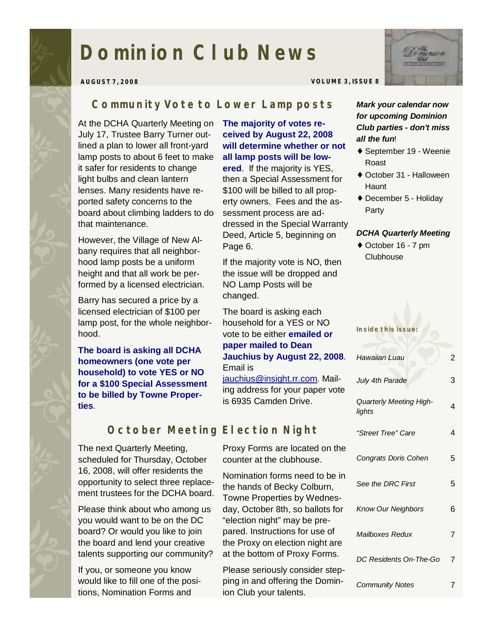# **Dominion Club News**

**AUGUST 7, 2008 VOLUME 3, ISSUE 8** 

## *Community Vote to Lower Lamp posts*

At the DCHA Quarterly Meeting on July 17, Trustee Barry Turner outlined a plan to lower all front-yard lamp posts to about 6 feet to make it safer for residents to change light bulbs and clean lantern lenses. Many residents have reported safety concerns to the board about climbing ladders to do that maintenance.

However, the Village of New Albany requires that all neighborhood lamp posts be a uniform height and that all work be performed by a licensed electrician.

Barry has secured a price by a licensed electrician of \$100 per lamp post, for the whole neighborhood.

**The board is asking all DCHA homeowners (one vote per household) to vote YES or NO for a \$100 Special Assessment to be billed by Towne Properties**.

**The majority of votes received by August 22, 2008 will determine whether or not all lamp posts will be lowered**. If the majority is YES, then a Special Assessment for \$100 will be billed to all property owners. Fees and the assessment process are addressed in the Special Warranty Deed, Article 5, beginning on Page 6.

If the majority vote is NO, then the issue will be dropped and NO Lamp Posts will be changed.

The board is asking each household for a YES or NO vote to be either **emailed or paper mailed to Dean Jauchius by August 22, 2008**. Email is

[jauchius@insight.rr.com.](mailto:jauchius@insight.rr.com) Mailing address for your paper vote is 6935 Camden Drive.

# *October Meeting Election Night*

The next Quarterly Meeting, scheduled for Thursday, October 16, 2008, will offer residents the opportunity to select three replacement trustees for the DCHA board.

Please think about who among us you would want to be on the DC board? Or would you like to join the board and lend your creative talents supporting our community?

If you, or someone you know would like to fill one of the positions, Nomination Forms and

Proxy Forms are located on the counter at the clubhouse.

Nomination forms need to be in the hands of Becky Colburn, Towne Properties by Wednesday, October 8th, so ballots for "election night" may be prepared. Instructions for use of the Proxy on election night are at the bottom of Proxy Forms.

Please seriously consider stepping in and offering the Dominion Club your talents.



- ♦ September 19 Weenie Roast
- ♦ October 31 Halloween **Haunt**
- ♦ December 5 Holiday Party

#### *DCHA Quarterly Meeting*

♦ October 16 - 7 pm **Clubhouse** 

| Inside this issue:                |   |
|-----------------------------------|---|
| Hawaiian Luau                     | 2 |
| July 4th Parade                   | 3 |
| Quarterly Meeting High-<br>lights | 4 |
| "Street Tree" Care                | 4 |
| Congrats Doris Cohen              | 5 |
| See the DRC First                 | 5 |
| <b>Know Our Neighbors</b>         | 6 |
| Mailboxes Redux                   | 7 |
| DC Residents On-The-Go            | 7 |
| <b>Community Notes</b>            | 7 |

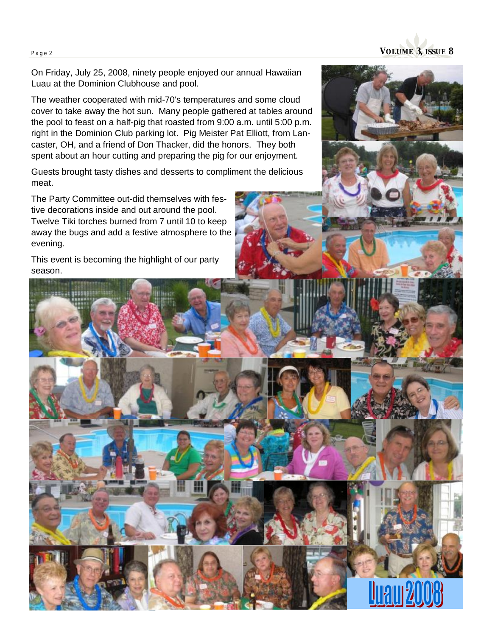**Page <sup>2</sup>VOLUME 3, ISSUE 8** 

On Friday, July 25, 2008, ninety people enjoyed our annual Hawaiian Luau at the Dominion Clubhouse and pool.

The weather cooperated with mid-70's temperatures and some cloud cover to take away the hot sun. Many people gathered at tables around the pool to feast on a half-pig that roasted from 9:00 a.m. until 5:00 p.m. right in the Dominion Club parking lot. Pig Meister Pat Elliott, from Lancaster, OH, and a friend of Don Thacker, did the honors. They both spent about an hour cutting and preparing the pig for our enjoyment.

Guests brought tasty dishes and desserts to compliment the delicious meat.

The Party Committee out-did themselves with festive decorations inside and out around the pool. Twelve Tiki torches burned from 7 until 10 to keep away the bugs and add a festive atmosphere to the evening.

This event is becoming the highlight of our party season.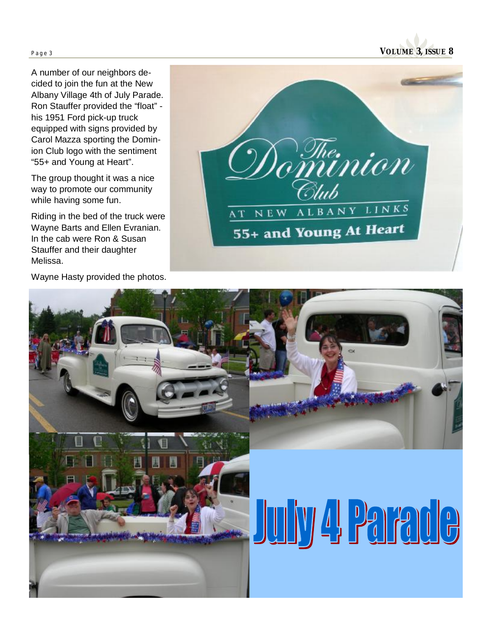**VOLUME 3, I SSUE 8** 

A number of our neighbors decided to join the fun at the New Albany Village 4th of July Parad e. Ron Stauffer provided the "float" his 1951 Ford pick-up truck equipped with signs provided by Carol Mazza sporting the Domin-Page 3<br>A number of our neighbors de-<br>cided to join the fun at the New<br>Albany Village 4th of July Parade.<br>Ron Stauffer provided the "float" -<br>his 1951 Ford pick-up truck<br>equipped with signs provided by<br>Carol Mazza sporting

ion Club logo with the sentiment "55+ and Young at Heart". The group thought it was <sup>a</sup> nice way to promote our community while having some fun.

Riding in the bed of the truck were Wayne Barts and Ellen Evrania



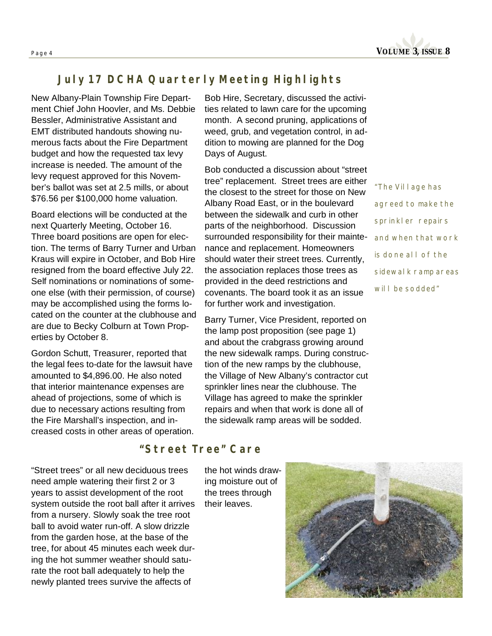

## *July 17 DCHA Quarterly Meeting Highlights*

New Albany-Plain Township Fire Department Chief John Hoovler, and Ms. Debbie Bessler, Administrative Assistant and EMT distributed handouts showing numerous facts about the Fire Department budget and how the requested tax levy increase is needed. The amount of the levy request approved for this November's ballot was set at 2.5 mills, or about \$76.56 per \$100,000 home valuation.

Board elections will be conducted at the next Quarterly Meeting, October 16. Three board positions are open for election. The terms of Barry Turner and Urban Kraus will expire in October, and Bob Hire resigned from the board effective July 22. Self nominations or nominations of someone else (with their permission, of course) may be accomplished using the forms located on the counter at the clubhouse and are due to Becky Colburn at Town Properties by October 8.

Gordon Schutt, Treasurer, reported that the legal fees to-date for the lawsuit have amounted to \$4,896.00. He also noted that interior maintenance expenses are ahead of projections, some of which is due to necessary actions resulting from the Fire Marshall's inspection, and increased costs in other areas of operation.

"Street trees" or all new deciduous trees need ample watering their first 2 or 3 years to assist development of the root system outside the root ball after it arrives from a nursery. Slowly soak the tree root ball to avoid water run-off. A slow drizzle from the garden hose, at the base of the tree, for about 45 minutes each week during the hot summer weather should saturate the root ball adequately to help the newly planted trees survive the affects of

Bob Hire, Secretary, discussed the activities related to lawn care for the upcoming month. A second pruning, applications of weed, grub, and vegetation control, in addition to mowing are planned for the Dog Days of August.

Bob conducted a discussion about "street tree" replacement. Street trees are either the closest to the street for those on New Albany Road East, or in the boulevard between the sidewalk and curb in other parts of the neighborhood. Discussion surrounded responsibility for their maintenance and replacement. Homeowners should water their street trees. Currently, the association replaces those trees as provided in the deed restrictions and covenants. The board took it as an issue for further work and investigation.

Barry Turner, Vice President, reported on the lamp post proposition (see page 1) and about the crabgrass growing around the new sidewalk ramps. During construction of the new ramps by the clubhouse, the Village of New Albany's contractor cut sprinkler lines near the clubhouse. The Village has agreed to make the sprinkler repairs and when that work is done all of the sidewalk ramp areas will be sodded.

*"The Village has agreed to make the sprinkler repairs and when that work is done all of the sidewalk ramp areas will be sodded"* 

### *"Street Tree" Care*

the hot winds drawing moisture out of the trees through their leaves.

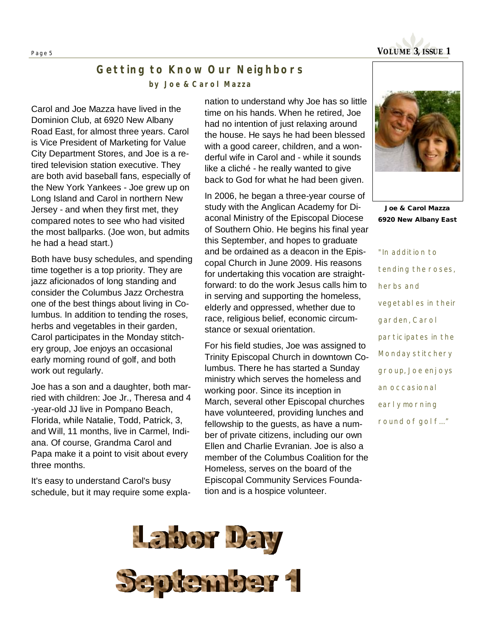**Page <sup>5</sup>VOLUME 3, ISSUE 1** 

# *Getting to Know Our Neighbors by Joe & Carol Mazza*

Carol and Joe Mazza have lived in the Dominion Club, at 6920 New Albany Road East, for almost three years. Carol is Vice President of Marketing for Value City Department Stores, and Joe is a retired television station executive. They are both avid baseball fans, especially of the New York Yankees - Joe grew up on Long Island and Carol in northern New Jersey - and when they first met, they compared notes to see who had visited the most ballparks. (Joe won, but admits he had a head start.)

Both have busy schedules, and spending time together is a top priority. They are jazz aficionados of long standing and consider the Columbus Jazz Orchestra one of the best things about living in Columbus. In addition to tending the roses, herbs and vegetables in their garden, Carol participates in the Monday stitchery group, Joe enjoys an occasional early morning round of golf, and both work out regularly.

Joe has a son and a daughter, both married with children: Joe Jr., Theresa and 4 -year-old JJ live in Pompano Beach, Florida, while Natalie, Todd, Patrick, 3, and Will, 11 months, live in Carmel, Indiana. Of course, Grandma Carol and Papa make it a point to visit about every three months.

It's easy to understand Carol's busy schedule, but it may require some expla-

nation to understand why Joe has so little time on his hands. When he retired, Joe had no intention of just relaxing around the house. He says he had been blessed with a good career, children, and a wonderful wife in Carol and - while it sounds like a cliché - he really wanted to give back to God for what he had been given.

In 2006, he began a three-year course of study with the Anglican Academy for Diaconal Ministry of the Episcopal Diocese of Southern Ohio. He begins his final year this September, and hopes to graduate and be ordained as a deacon in the Episcopal Church in June 2009. His reasons for undertaking this vocation are straightforward: to do the work Jesus calls him to in serving and supporting the homeless, elderly and oppressed, whether due to race, religious belief, economic circumstance or sexual orientation.

For his field studies, Joe was assigned to Trinity Episcopal Church in downtown Columbus. There he has started a Sunday ministry which serves the homeless and working poor. Since its inception in March, several other Episcopal churches have volunteered, providing lunches and fellowship to the guests, as have a number of private citizens, including our own Ellen and Charlie Evranian. Joe is also a member of the Columbus Coalition for the Homeless, serves on the board of the Episcopal Community Services Foundation and is a hospice volunteer.



**Joe & Carol Mazza 6920 New Albany East** 

*"In addition to tending the roses, herbs and vegetables in their garden, Carol participates in the Monday stitchery group, Joe enjoys an occasional early morning round of golf…"* 

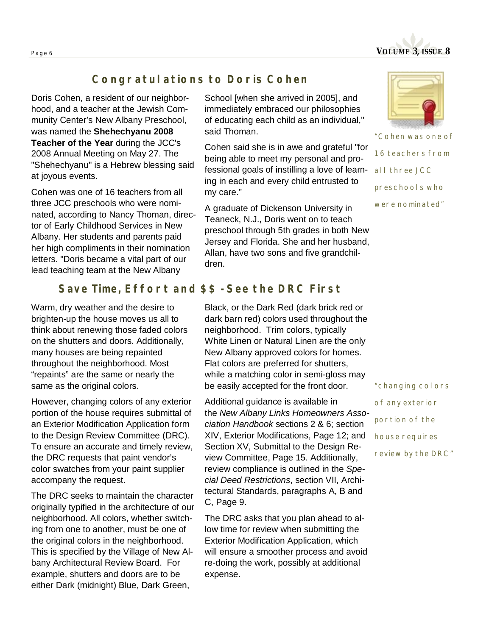

## *Congratulations to Doris Cohen*

Doris Cohen, a resident of our neighborhood, and a teacher at the Jewish Community Center's New Albany Preschool, was named the **Shehechyanu 2008 Teacher of the Year** during the JCC's 2008 Annual Meeting on May 27. The "Shehechyanu" is a Hebrew blessing said at joyous events.

Cohen was one of 16 teachers from all three JCC preschools who were nominated, according to Nancy Thoman, director of Early Childhood Services in New Albany. Her students and parents paid her high compliments in their nomination letters. "Doris became a vital part of our lead teaching team at the New Albany

School [when she arrived in 2005], and immediately embraced our philosophies of educating each child as an individual," said Thoman.

Cohen said she is in awe and grateful "for being able to meet my personal and professional goals of instilling a love of learning in each and every child entrusted to my care."

A graduate of Dickenson University in Teaneck, N.J., Doris went on to teach preschool through 5th grades in both New Jersey and Florida. She and her husband, Allan, have two sons and five grandchildren.



*"Cohen was one of 16 teachers from all three JCC preschools who were nominated"* 

## *Save Time, Effort and \$\$ - See the DRC First*

Warm, dry weather and the desire to brighten-up the house moves us all to think about renewing those faded colors on the shutters and doors. Additionally, many houses are being repainted throughout the neighborhood. Most "repaints" are the same or nearly the same as the original colors.

However, changing colors of any exterior portion of the house requires submittal of an Exterior Modification Application form to the Design Review Committee (DRC). To ensure an accurate and timely review, the DRC requests that paint vendor's color swatches from your paint supplier accompany the request.

The DRC seeks to maintain the character originally typified in the architecture of our neighborhood. All colors, whether switching from one to another, must be one of the original colors in the neighborhood. This is specified by the Village of New Albany Architectural Review Board. For example, shutters and doors are to be either Dark (midnight) Blue, Dark Green,

Black, or the Dark Red (dark brick red or dark barn red) colors used throughout the neighborhood. Trim colors, typically White Linen or Natural Linen are the only New Albany approved colors for homes. Flat colors are preferred for shutters, while a matching color in semi-gloss may be easily accepted for the front door.

Additional guidance is available in the *New Albany Links Homeowners Association Handbook* sections 2 & 6; section XIV, Exterior Modifications, Page 12; and Section XV, Submittal to the Design Review Committee, Page 15. Additionally, review compliance is outlined in the *Special Deed Restrictions*, section VII, Architectural Standards, paragraphs A, B and C, Page 9.

The DRC asks that you plan ahead to allow time for review when submitting the Exterior Modification Application, which will ensure a smoother process and avoid re-doing the work, possibly at additional expense.

*"changing colors of any exterior portion of the house requires review by the DRC"*